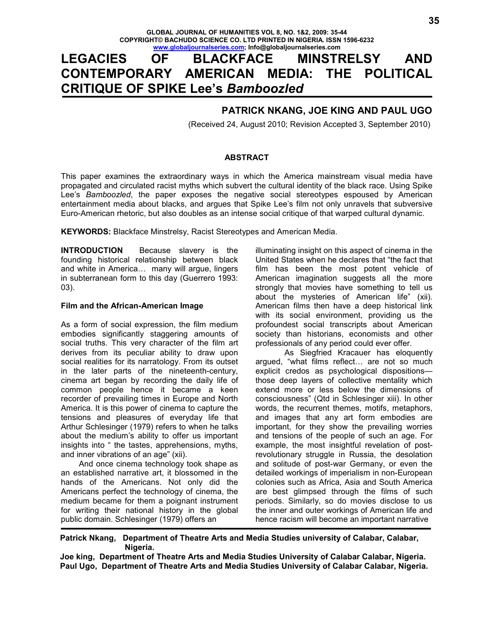# **LEGACIES OF BLACKFACE MINSTRELSY AND CONTEMPORARY AMERICAN MEDIA: THE POLITICAL CRITIQUE OF SPIKE Lee's** *Bamboozled*

# **PATRICK NKANG, JOE KING AND PAUL UGO**

(Received 24, August 2010; Revision Accepted 3, September 2010)

#### **ABSTRACT**

This paper examines the extraordinary ways in which the America mainstream visual media have propagated and circulated racist myths which subvert the cultural identity of the black race. Using Spike Lee's *Bamboozled*, the paper exposes the negative social stereotypes espoused by American entertainment media about blacks, and argues that Spike Lee's film not only unravels that subversive Euro-American rhetoric, but also doubles as an intense social critique of that warped cultural dynamic.

**KEYWORDS:** Blackface Minstrelsy, Racist Stereotypes and American Media.

**INTRODUCTION** Because slavery is the founding historical relationship between black and white in America... many will argue, lingers in subterranean form to this day (Guerrero 1993: 03).

#### **Film and the African-American Image**

As a form of social expression, the film medium embodies significantly staggering amounts of social truths*.* This very character of the film art derives from its peculiar ability to draw upon social realities for its narratology. From its outset in the later parts of the nineteenth-century, cinema art began by recording the daily life of common people hence it became a keen recorder of prevailing times in Europe and North America. It is this power of cinema to capture the tensions and pleasures of everyday life that Arthur Schlesinger (1979) refers to when he talks about the medium's ability to offer us important insights into " the tastes, apprehensions, myths, and inner vibrations of an age" (xii).

 And once cinema technology took shape as an established narrative art, it blossomed in the hands of the Americans. Not only did the Americans perfect the technology of cinema, the medium became for them a poignant instrument for writing their national history in the global public domain. Schlesinger (1979) offers an

illuminating insight on this aspect of cinema in the United States when he declares that "the fact that film has been the most potent vehicle of American imagination suggests all the more strongly that movies have something to tell us about the mysteries of American life" (xii). American films then have a deep historical link with its social environment, providing us the profoundest social transcripts about American society than historians, economists and other professionals of any period could ever offer.

 As Siegfried Kracauer has eloquently arqued, "what films reflect... are not so much explicit credos as psychological dispositions those deep layers of collective mentality which extend more or less below the dimensions of consciousness" (Qtd in Schlesinger xiii). In other words, the recurrent themes, motifs, metaphors, and images that any art form embodies are important, for they show the prevailing worries and tensions of the people of such an age. For example, the most insightful revelation of postrevolutionary struggle in Russia, the desolation and solitude of post-war Germany, or even the detailed workings of imperialism in non-European colonies such as Africa, Asia and South America are best glimpsed through the films of such periods. Similarly, so do movies disclose to us the inner and outer workings of American life and hence racism will become an important narrative

**Patrick Nkang, Department of Theatre Arts and Media Studies university of Calabar, Calabar, Nigeria.** 

**Joe king, Department of Theatre Arts and Media Studies University of Calabar Calabar, Nigeria. Paul Ugo, Department of Theatre Arts and Media Studies University of Calabar Calabar, Nigeria.**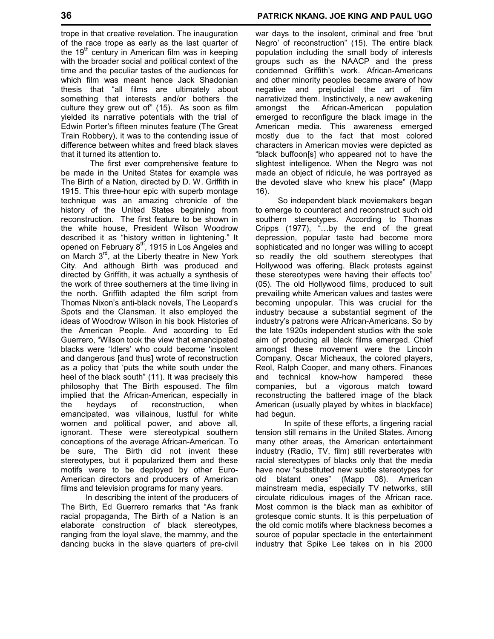trope in that creative revelation. The inauguration of the race trope as early as the last quarter of the  $19<sup>th</sup>$  century in American film was in keeping with the broader social and political context of the time and the peculiar tastes of the audiences for which film was meant hence Jack Shadonian thesis that "all films are ultimately about something that interests and/or bothers the culture they grew out of" (15). As soon as film yielded its narrative potentials with the trial of Edwin Porter's fifteen minutes feature (The Great Train Robbery), it was to the contending issue of difference between whites and freed black slaves that it turned its attention to.

 The first ever comprehensive feature to be made in the United States for example was The Birth of a Nation*,* directed by D. W. Griffith in 1915. This three-hour epic with superb montage technique was an amazing chronicle of the history of the United States beginning from reconstruction. The first feature to be shown in the white house, President Wilson Woodrow described it as "history written in lightening." It opened on February 8<sup>th</sup>, 1915 in Los Angeles and on March  $3<sup>rd</sup>$ , at the Liberty theatre in New York City. And although Birth was produced and directed by Griffith, it was actually a synthesis of the work of three southerners at the time living in the north. Griffith adapted the film script from Thomas Nixon's anti-black novels, The Leopard's Spots and the Clansman*.* It also employed the ideas of Woodrow Wilson in his book Histories of the American People*.* And according to Ed Guerrero, "Wilson took the view that emancipated blacks were 'Idlers' who could become 'insolent and dangerous [and thus] wrote of reconstruction as a policy that 'puts the white south under the heel of the black south" (11). It was precisely this philosophy that The Birth espoused. The film implied that the African-American, especially in the heydays of reconstruction, when emancipated, was villainous, lustful for white women and political power, and above all, ignorant. These were stereotypical southern conceptions of the average African-American. To be sure, The Birth did not invent these stereotypes, but it popularized them and these motifs were to be deployed by other Euro-American directors and producers of American films and television programs for many years.

 In describing the intent of the producers of The Birth, Ed Guerrero remarks that "As frank racial propaganda, The Birth of a Nation is an elaborate construction of black stereotypes, ranging from the loyal slave, the mammy, and the dancing bucks in the slave quarters of pre-civil war days to the insolent, criminal and free 'brut Negro' of reconstruction" (15). The entire black population including the small body of interests groups such as the NAACP and the press condemned Griffith's work. African-Americans and other minority peoples became aware of how negative and prejudicial the art of film narrativized them. Instinctively, a new awakening amongst the African-American population emerged to reconfigure the black image in the American media. This awareness emerged mostly due to the fact that most colored characters in American movies were depicted as "black buffoon[s] who appeared not to have the slightest intelligence. When the Negro was not made an object of ridicule, he was portrayed as the devoted slave who knew his place" (Mapp 16).

 So independent black moviemakers began to emerge to counteract and reconstruct such old southern stereotypes. According to Thomas Cripps (1977), "...by the end of the great depression, popular taste had become more sophisticated and no longer was willing to accept so readily the old southern stereotypes that Hollywood was offering. Black protests against these stereotypes were having their effects too" (05). The old Hollywood films, produced to suit prevailing white American values and tastes were becoming unpopular. This was crucial for the industry because a substantial segment of the industry's patrons were African-Americans. So by the late 1920s independent studios with the sole aim of producing all black films emerged. Chief amongst these movement were the Lincoln Company, Oscar Micheaux, the colored players, Reol, Ralph Cooper, and many others. Finances and technical know-how hampered these companies, but a vigorous match toward reconstructing the battered image of the black American (usually played by whites in blackface) had begun.

 In spite of these efforts, a lingering racial tension still remains in the United States. Among many other areas, the American entertainment industry (Radio, TV, film) still reverberates with racial stereotypes of blacks only that the media have now "substituted new subtle stereotypes for old blatant ones" (Mapp 08). American mainstream media, especially TV networks, still circulate ridiculous images of the African race. Most common is the black man as exhibitor of grotesque comic stunts. It is this perpetuation of the old comic motifs where blackness becomes a source of popular spectacle in the entertainment industry that Spike Lee takes on in his 2000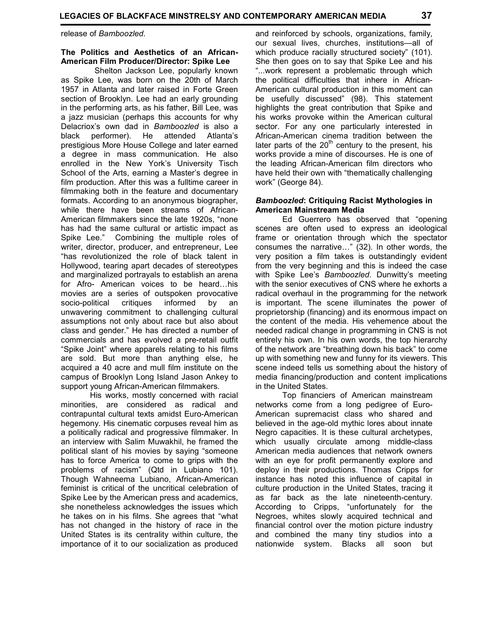#### **The Politics and Aesthetics of an African-American Film Producer/Director: Spike Lee**

 Shelton Jackson Lee, popularly known as Spike Lee, was born on the 20th of March 1957 in Atlanta and later raised in Forte Green section of Brooklyn. Lee had an early grounding in the performing arts, as his father, Bill Lee, was a jazz musician (perhaps this accounts for why Delacriox's own dad in *Bamboozled* is also a black performer). He attended Atlanta's prestigious More House College and later earned a degree in mass communication. He also enrolled in the New York's University Tisch School of the Arts, earning a Master's degree in film production. After this was a fulltime career in filmmaking both in the feature and documentary formats. According to an anonymous biographer, while there have been streams of African-American filmmakers since the late 1920s, "none has had the same cultural or artistic impact as Spike Lee." Combining the multiple roles of writer, director, producer, and entrepreneur, Lee "has revolutionized the role of black talent in Hollywood, tearing apart decades of stereotypes and marginalized portrayals to establish an arena for Afro- American voices to be heard...his movies are a series of outspoken provocative socio-political critiques informed by an unwavering commitment to challenging cultural assumptions not only about race but also about class and gender." He has directed a number of commercials and has evolved a pre-retail outfit "Spike Joint" where apparels relating to his films are sold. But more than anything else, he acquired a 40 acre and mull film institute on the campus of Brooklyn Long Island Jason Ankey to support young African-American filmmakers.

 His works, mostly concerned with racial minorities, are considered as radical and contrapuntal cultural texts amidst Euro-American hegemony. His cinematic corpuses reveal him as a politically radical and progressive filmmaker. In an interview with Salim Muwakhil, he framed the political slant of his movies by saying "someone has to force America to come to grips with the problems of racism" (Qtd in Lubiano 101). Though Wahneema Lubiano, African-American feminist is critical of the uncritical celebration of Spike Lee by the American press and academics, she nonetheless acknowledges the issues which he takes on in his films. She agrees that "what has not changed in the history of race in the United States is its centrality within culture, the importance of it to our socialization as produced and reinforced by schools, organizations, family, our sexual lives, churches, institutions—all of which produce racially structured society" (101). She then goes on to say that Spike Lee and his "...work represent a problematic through which the political difficulties that inhere in African-American cultural production in this moment can be usefully discussed" (98). This statement highlights the great contribution that Spike and his works provoke within the American cultural sector. For any one particularly interested in African-American cinema tradition between the later parts of the  $20<sup>th</sup>$  century to the present, his works provide a mine of discourses. He is one of the leading African-American film directors who have held their own with "thematically challenging work" (George 84).

#### *Bamboozled***: Critiquing Racist Mythologies in American Mainstream Media**

 Ed Guerrero has observed that "opening scenes are often used to express an ideological frame or orientation through which the spectator consumes the narrative..." (32). In other words, the very position a film takes is outstandingly evident from the very beginning and this is indeed the case with Spike Lee's *Bamboozled*. Dunwitty's meeting with the senior executives of CNS where he exhorts a radical overhaul in the programming for the network is important. The scene illuminates the power of proprietorship (financing) and its enormous impact on the content of the media. His vehemence about the needed radical change in programming in CNS is not entirely his own. In his own words, the top hierarchy of the network are "breathing down his back" to come up with something new and funny for its viewers. This scene indeed tells us something about the history of media financing/production and content implications in the United States.

 Top financiers of American mainstream networks come from a long pedigree of Euro-American supremacist class who shared and believed in the age-old mythic lores about innate Negro capacities. It is these cultural archetypes, which usually circulate among middle-class American media audiences that network owners with an eye for profit permanently explore and deploy in their productions. Thomas Cripps for instance has noted this influence of capital in culture production in the United States, tracing it as far back as the late nineteenth-century. According to Cripps, "unfortunately for the Negroes, whites slowly acquired technical and financial control over the motion picture industry and combined the many tiny studios into a nationwide system. Blacks all soon but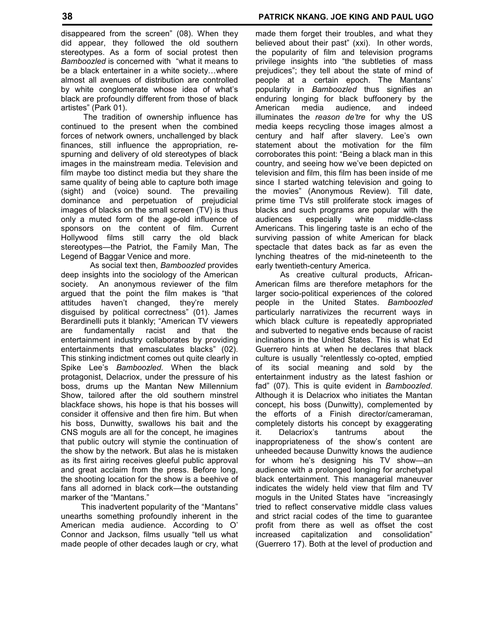disappeared from the screen" (08). When they did appear, they followed the old southern stereotypes. As a form of social protest then *Bamboozled* is concerned with "what it means to be a black entertainer in a white society...where almost all avenues of distribution are controlled by white conglomerate whose idea of what's black are profoundly different from those of black artistes" (Park 01).

 The tradition of ownership influence has continued to the present when the combined forces of network owners, unchallenged by black finances, still influence the appropriation, respurning and delivery of old stereotypes of black images in the mainstream media. Television and film maybe too distinct media but they share the same quality of being able to capture both image (sight) and (voice) sound. The prevailing dominance and perpetuation of prejudicial images of blacks on the small screen (TV) is thus only a muted form of the age-old influence of sponsors on the content of film. Current Hollywood films still carry the old black stereotypes*—*the Patriot, the Family Man, The Legend of Baggar Venice and more.

 As social text then, *Bamboozled* provides deep insights into the sociology of the American society. An anonymous reviewer of the film argued that the point the film makes is "that attitudes haven't changed, they're merely disguised by political correctness" (01). James Berardinelli puts it blankly; "American TV viewers are fundamentally racist and that the entertainment industry collaborates by providing entertainments that emasculates blacks" (02). This stinking indictment comes out quite clearly in Spike Lee's *Bamboozled*. When the black protagonist, Delacriox, under the pressure of his boss, drums up the Mantan New Millennium Show, tailored after the old southern minstrel blackface shows, his hope is that his bosses will consider it offensive and then fire him. But when his boss, Dunwitty, swallows his bait and the CNS moguls are all for the concept, he imagines that public outcry will stymie the continuation of the show by the network. But alas he is mistaken as its first airing receives gleeful public approval and great acclaim from the press. Before long, the shooting location for the show is a beehive of fans all adorned in black cork—the outstanding marker of the "Mantans."

 This inadvertent popularity of the "Mantans" unearths something profoundly inherent in the American media audience. According to O' Connor and Jackson, films usually "tell us what made people of other decades laugh or cry, what made them forget their troubles, and what they believed about their past" (xxi). In other words, the popularity of film and television programs privilege insights into "the subtleties of mass prejudices"; they tell about the state of mind of people at a certain epoch. The Mantans' popularity in *Bamboozled* thus signifies an enduring longing for black buffoonery by the American media audience, and indeed illuminates the *reason de'tre* for why the US media keeps recycling those images almost a century and half after slavery. Lee's own statement about the motivation for the film corroborates this point: "Being a black man in this country, and seeing how we've been depicted on television and film, this film has been inside of me since I started watching television and going to the movies" (Anonymous Review). Till date, prime time TVs still proliferate stock images of blacks and such programs are popular with the audiences especially white middle-class Americans. This lingering taste is an echo of the surviving passion of white American for black spectacle that dates back as far as even the lynching theatres of the mid-nineteenth to the early twentieth-century America.

 As creative cultural products, African-American films are therefore metaphors for the larger socio-political experiences of the colored people in the United States. *Bamboozled* particularly narrativizes the recurrent ways in which black culture is repeatedly appropriated and subverted to negative ends because of racist inclinations in the United States. This is what Ed Guerrero hints at when he declares that black culture is usually "relentlessly co-opted, emptied of its social meaning and sold by the entertainment industry as the latest fashion or fad" (07). This is quite evident in *Bamboozled*. Although it is Delacriox who initiates the Mantan concept, his boss (Dunwitty), complemented by the efforts of a Finish director/cameraman, completely distorts his concept by exaggerating it. Delacriox's tantrums about the inappropriateness of the show's content are unheeded because Dunwitty knows the audience for whom he's designing his TV show—an audience with a prolonged longing for archetypal black entertainment. This managerial maneuver indicates the widely held view that film and TV moguls in the United States have "increasingly tried to reflect conservative middle class values and strict racial codes of the time to guarantee profit from there as well as offset the cost increased capitalization and consolidation" (Guerrero 17). Both at the level of production and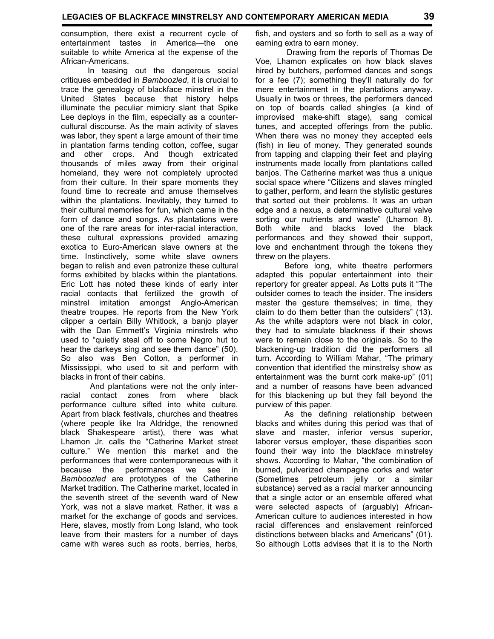consumption, there exist a recurrent cycle of entertainment tastes in America—the one suitable to white America at the expense of the African-Americans.

 In teasing out the dangerous social critiques embedded in *Bamboozled*, it is crucial to trace the genealogy of blackface minstrel in the United States because that history helps illuminate the peculiar mimicry slant that Spike Lee deploys in the film, especially as a countercultural discourse. As the main activity of slaves was labor, they spent a large amount of their time in plantation farms tending cotton, coffee, sugar and other crops. And though extricated thousands of miles away from their original homeland, they were not completely uprooted from their culture. In their spare moments they found time to recreate and amuse themselves within the plantations. Inevitably, they turned to their cultural memories for fun, which came in the form of dance and songs. As plantations were one of the rare areas for inter-racial interaction, these cultural expressions provided amazing exotica to Euro-American slave owners at the time. Instinctively, some white slave owners began to relish and even patronize these cultural forms exhibited by blacks within the plantations. Eric Lott has noted these kinds of early inter racial contacts that fertilized the growth of minstrel imitation amongst Anglo-American theatre troupes. He reports from the New York clipper a certain Billy Whitlock, a banjo player with the Dan Emmett's Virginia minstrels who used to "quietly steal off to some Negro hut to hear the darkeys sing and see them dance" (50). So also was Ben Cotton, a performer in Mississippi, who used to sit and perform with blacks in front of their cabins.

 And plantations were not the only interracial contact zones from where black performance culture sifted into white culture. Apart from black festivals, churches and theatres (where people like Ira Aldridge, the renowned black Shakespeare artist), there was what Lhamon Jr. calls the "Catherine Market street culture." We mention this market and the performances that were contemporaneous with it because the performances we see in *Bamboozled* are prototypes of the Catherine Market tradition. The Catherine market, located in the seventh street of the seventh ward of New York, was not a slave market. Rather, it was a market for the exchange of goods and services. Here, slaves, mostly from Long Island, who took leave from their masters for a number of days came with wares such as roots, berries, herbs, fish, and oysters and so forth to sell as a way of earning extra to earn money.

 Drawing from the reports of Thomas De Voe, Lhamon explicates on how black slaves hired by butchers, performed dances and songs for a fee (7); something they'll naturally do for mere entertainment in the plantations anyway. Usually in twos or threes, the performers danced on top of boards called shingles (a kind of improvised make-shift stage), sang comical tunes, and accepted offerings from the public. When there was no money they accepted eels (fish) in lieu of money. They generated sounds from tapping and clapping their feet and playing instruments made locally from plantations called banjos. The Catherine market was thus a unique social space where "Citizens and slaves mingled to gather, perform, and learn the stylistic gestures that sorted out their problems. It was an urban edge and a nexus, a determinative cultural valve sorting our nutrients and waste" (Lhamon 8). Both white and blacks loved the black performances and they showed their support, love and enchantment through the tokens they threw on the players.

 Before long, white theatre performers adapted this popular entertainment into their repertory for greater appeal. As Lotts puts it "The outsider comes to teach the insider. The insiders master the gesture themselves; in time, they claim to do them better than the outsiders" (13). As the white adaptors were not black in color, they had to simulate blackness if their shows were to remain close to the originals. So to the blackening-up tradition did the performers all turn. According to William Mahar, "The primary convention that identified the minstrelsy show as entertainment was the burnt cork make-up" (01) and a number of reasons have been advanced for this blackening up but they fall beyond the purview of this paper.

 As the defining relationship between blacks and whites during this period was that of slave and master, inferior versus superior, laborer versus employer, these disparities soon found their way into the blackface minstrelsy shows. According to Mahar, "the combination of burned, pulverized champagne corks and water (Sometimes petroleum jelly or a similar substance) served as a racial marker announcing that a single actor or an ensemble offered what were selected aspects of (arguably) African-American culture to audiences interested in how racial differences and enslavement reinforced distinctions between blacks and Americans" (01). So although Lotts advises that it is to the North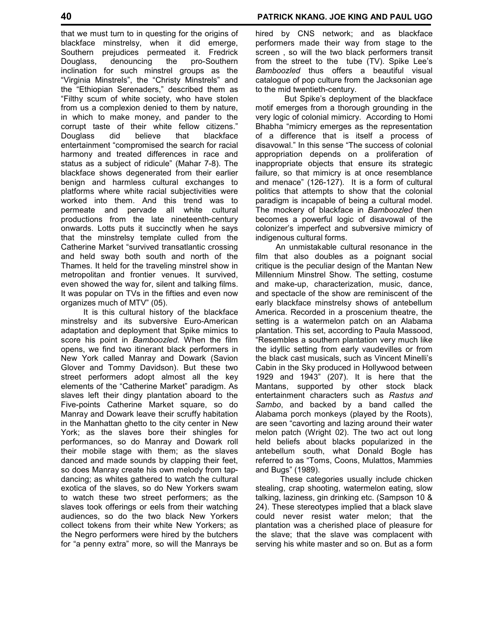that we must turn to in questing for the origins of blackface minstrelsy, when it did emerge, Southern prejudices permeated it. Fredrick Douglass, denouncing the pro-Southern inclination for such minstrel groups as the "Virginia Minstrels", the "Christy Minstrels" and the "Ethiopian Serenaders," described them as "Filthy scum of white society, who have stolen from us a complexion denied to them by nature, in which to make money, and pander to the corrupt taste of their white fellow citizens." Douglass did believe that blackface entertainment "compromised the search for racial harmony and treated differences in race and status as a subject of ridicule" (Mahar 7-8). The blackface shows degenerated from their earlier benign and harmless cultural exchanges to platforms where white racial subjectivities were worked into them. And this trend was to permeate and pervade all white cultural

productions from the late nineteenth-century onwards. Lotts puts it succinctly when he says that the minstrelsy template culled from the Catherine Market "survived transatlantic crossing and held sway both south and north of the Thames. It held for the traveling minstrel show in metropolitan and frontier venues. It survived, even showed the way for, silent and talking films. It was popular on TVs in the fifties and even now organizes much of MTV" (05).

 It is this cultural history of the blackface minstrelsy and its subversive Euro-American adaptation and deployment that Spike mimics to score his point in *Bamboozled.* When the film opens, we find two itinerant black performers in New York called Manray and Dowark (Savion Glover and Tommy Davidson). But these two street performers adopt almost all the key elements of the "Catherine Market" paradigm. As slaves left their dingy plantation aboard to the Five-points Catherine Market square, so do Manray and Dowark leave their scruffy habitation in the Manhattan ghetto to the city center in New York; as the slaves bore their shingles for performances, so do Manray and Dowark roll their mobile stage with them; as the slaves danced and made sounds by clapping their feet, so does Manray create his own melody from tapdancing; as whites gathered to watch the cultural exotica of the slaves, so do New Yorkers swam to watch these two street performers; as the slaves took offerings or eels from their watching audiences, so do the two black New Yorkers collect tokens from their white New Yorkers; as the Negro performers were hired by the butchers for "a penny extra" more, so will the Manrays be

hired by CNS network; and as blackface performers made their way from stage to the screen , so will the two black performers transit from the street to the tube (TV). Spike Lee's *Bamboozled* thus offers a beautiful visual catalogue of pop culture from the Jacksonian age to the mid twentieth-century.

 But Spike's deployment of the blackface motif emerges from a thorough grounding in the very logic of colonial mimicry. According to Homi Bhabha "mimicry emerges as the representation of a difference that is itself a process of disavowal." In this sense "The success of colonial appropriation depends on a proliferation of inappropriate objects that ensure its strategic failure, so that mimicry is at once resemblance and menace" (126-127). It is a form of cultural politics that attempts to show that the colonial paradigm is incapable of being a cultural model. The mockery of blackface in *Bamboozled* then becomes a powerful logic of disavowal of the colonizer's imperfect and subversive mimicry of indigenous cultural forms.

 An unmistakable cultural resonance in the film that also doubles as a poignant social critique is the peculiar design of the Mantan New Millennium Minstrel Show. The setting, costume and make-up, characterization, music, dance, and spectacle of the show are reminiscent of the early blackface minstrelsy shows of antebellum America. Recorded in a proscenium theatre, the setting is a watermelon patch on an Alabama plantation. This set, according to Paula Massood, "Resembles a southern plantation very much like the idyllic setting from early vaudevilles or from the black cast musicals, such as Vincent Minelli's Cabin in the Sky produced in Hollywood between 1929 and 1943" (207). It is here that the Mantans, supported by other stock black entertainment characters such as *Rastus and Sambo*, and backed by a band called the Alabama porch monkeys (played by the Roots), are seen "cavorting and lazing around their water melon patch (Wright 02). The two act out long held beliefs about blacks popularized in the antebellum south, what Donald Bogle has referred to as "Toms, Coons, Mulattos, Mammies and Bugs" (1989).

 These categories usually include chicken stealing, crap shooting, watermelon eating, slow talking, laziness, gin drinking etc. (Sampson 10 & 24). These stereotypes implied that a black slave could never resist water melon; that the plantation was a cherished place of pleasure for the slave; that the slave was complacent with serving his white master and so on. But as a form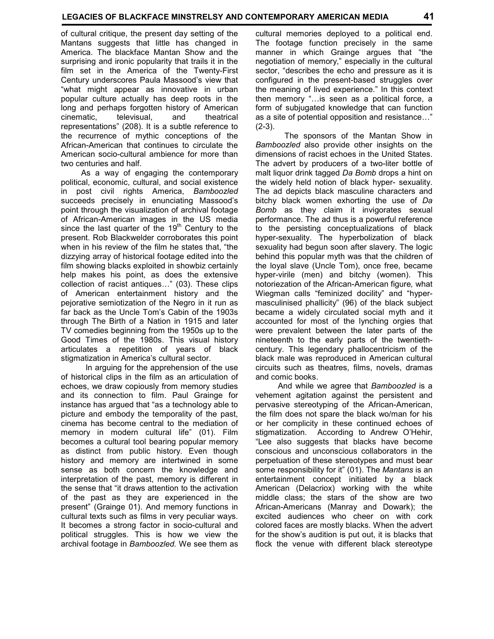of cultural critique, the present day setting of the Mantans suggests that little has changed in America. The blackface Mantan Show and the surprising and ironic popularity that trails it in the film set in the America of the Twenty-First Century underscores Paula Massood's view that "what might appear as innovative in urban popular culture actually has deep roots in the long and perhaps forgotten history of American cinematic, televisual, and theatrical representations" (208). It is a subtle reference to the recurrence of mythic conceptions of the African-American that continues to circulate the American socio-cultural ambience for more than two centuries and half.

 As a way of engaging the contemporary political, economic, cultural, and social existence in post civil rights America, *Bamboozled* succeeds precisely in enunciating Massood's point through the visualization of archival footage of African-American images in the US media since the last quarter of the  $19<sup>th</sup>$  Century to the present. Rob Blackwelder corroborates this point when in his review of the film he states that, "the dizzying array of historical footage edited into the film showing blacks exploited in showbiz certainly help makes his point, as does the extensive collection of racist antiques..." (03). These clips of American entertainment history and the pejorative semiotization of the Negro in it run as far back as the Uncle Tom's Cabin of the 1903s through The Birth of a Nation in 1915 and later TV comedies beginning from the 1950s up to the Good Times of the 1980s. This visual history articulates a repetition of years of black stigmatization in America's cultural sector.

 In arguing for the apprehension of the use of historical clips in the film as an articulation of echoes, we draw copiously from memory studies and its connection to film. Paul Grainge for instance has argued that "as a technology able to picture and embody the temporality of the past, cinema has become central to the mediation of memory in modern cultural life" (01). Film becomes a cultural tool bearing popular memory as distinct from public history. Even though history and memory are intertwined in some sense as both concern the knowledge and interpretation of the past, memory is different in the sense that "it draws attention to the activation of the past as they are experienced in the present" (Grainge 01). And memory functions in cultural texts such as films in very peculiar ways. It becomes a strong factor in socio-cultural and political struggles. This is how we view the archival footage in *Bamboozled.* We see them as

cultural memories deployed to a political end. The footage function precisely in the same manner in which Grainge argues that "the negotiation of memory," especially in the cultural sector, "describes the echo and pressure as it is configured in the present-based struggles over the meaning of lived experience." In this context then memory "... is seen as a political force, a form of subjugated knowledge that can function as a site of potential opposition and resistance..."  $(2-3)$ .

 The sponsors of the Mantan Show in *Bamboozled* also provide other insights on the dimensions of racist echoes in the United States. The advert by producers of a two-liter bottle of malt liquor drink tagged *Da Bomb* drops a hint on the widely held notion of black hyper- sexuality. The ad depicts black masculine characters and bitchy black women exhorting the use of *Da Bomb* as they claim it invigorates sexual performance. The ad thus is a powerful reference to the persisting conceptualizations of black hyper-sexuality. The hyperbolization of black sexuality had begun soon after slavery. The logic behind this popular myth was that the children of the loyal slave (Uncle Tom), once free, became hyper-virile (men) and bitchy (women). This notoriezation of the African-American figure*,* what Wiegman calls "feminized docility" and "hypermasculinised phallicity" (96) of the black subject became a widely circulated social myth and it accounted for most of the lynching orgies that were prevalent between the later parts of the nineteenth to the early parts of the twentiethcentury. This legendary phallocentricism of the black male was reproduced in American cultural circuits such as theatres, films, novels, dramas and comic books.

 And while we agree that *Bamboozled* is a vehement agitation against the persistent and pervasive stereotyping of the African-American, the film does not spare the black wo/man for his or her complicity in these continued echoes of stigmatization. According to Andrew O'Hehir, "Lee also suggests that blacks have become conscious and unconscious collaborators in the perpetuation of these stereotypes and must bear some responsibility for it" (01). The *Mantans* is an entertainment concept initiated by a black American (Delacriox) working with the white middle class; the stars of the show are two African-Americans (Manray and Dowark); the excited audiences who cheer on with cork colored faces are mostly blacks. When the advert for the show's audition is put out, it is blacks that flock the venue with different black stereotype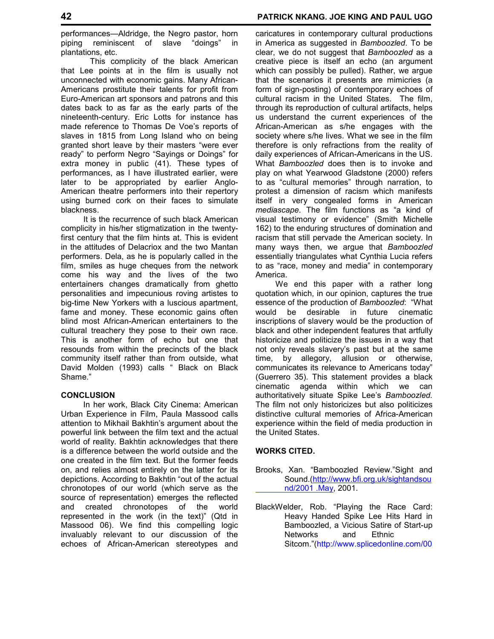performances—Aldridge, the Negro pastor, horn piping reminiscent of slave "doings" in plantations, etc.

 This complicity of the black American that Lee points at in the film is usually not unconnected with economic gains. Many African-Americans prostitute their talents for profit from Euro-American art sponsors and patrons and this dates back to as far as the early parts of the nineteenth-century. Eric Lotts for instance has made reference to Thomas De Voe's reports of slaves in 1815 from Long Island who on being granted short leave by their masters "were ever ready" to perform Negro "Sayings or Doings" for extra money in public (41). These types of performances, as I have illustrated earlier, were later to be appropriated by earlier Anglo-American theatre performers into their repertory using burned cork on their faces to simulate blackness.

 It is the recurrence of such black American complicity in his/her stigmatization in the twentyfirst century that the film hints at. This is evident in the attitudes of Delacriox and the two Mantan performers. Dela, as he is popularly called in the film, smiles as huge cheques from the network come his way and the lives of the two entertainers changes dramatically from ghetto personalities and impecunious roving artistes to big-time New Yorkers with a luscious apartment, fame and money. These economic gains often blind most African-American entertainers to the cultural treachery they pose to their own race. This is another form of echo but one that resounds from within the precincts of the black community itself rather than from outside, what David Molden (1993) calls " Black on Black Shame."

#### **CONCLUSION**

In her work, Black City Cinema: American Urban Experience in Film, Paula Massood calls attention to Mikhail Bakhtin's argument about the powerful link between the film text and the actual world of reality. Bakhtin acknowledges that there is a difference between the world outside and the one created in the film text. But the former feeds on, and relies almost entirely on the latter for its depictions. According to Bakhtin "out of the actual chronotopes of our world (which serve as the source of representation) emerges the reflected and created chronotopes of the world represented in the work (in the text)" (Qtd in Massood 06). We find this compelling logic invaluably relevant to our discussion of the echoes of African-American stereotypes and

caricatures in contemporary cultural productions in America as suggested in *Bamboozled*. To be clear, we do not suggest that *Bamboozled* as a creative piece is itself an echo (an argument which can possibly be pulled). Rather, we argue that the scenarios it presents are mimicries (a form of sign-posting) of contemporary echoes of cultural racism in the United States. The film, through its reproduction of cultural artifacts, helps us understand the current experiences of the African-American as s/he engages with the society where s/he lives. What we see in the film therefore is only refractions from the reality of daily experiences of African-Americans in the US. What *Bamboozled* does then is to invoke and play on what Yearwood Gladstone (2000) refers to as "cultural memories" through narration, to protest a dimension of racism which manifests itself in very congealed forms in American *mediascape.* The film functions as "a kind of visual testimony or evidence" (Smith Michelle 162) to the enduring structures of domination and racism that still pervade the American society. In many ways then, we argue that *Bamboozled* essentially triangulates what Cynthia Lucia refers to as "race, money and media" in contemporary America.

 We end this paper with a rather long quotation which, in our opinion, captures the true essence of the production of *Bamboozled*: "What would be desirable in future cinematic inscriptions of slavery would be the production of black and other independent features that artfully historicize and politicize the issues in a way that not only reveals slavery's past but at the same time, by allegory, allusion or otherwise, communicates its relevance to Americans today" (Guerrero 35). This statement provides a black cinematic agenda within which we can authoritatively situate Spike Lee's *Bamboozled.* The film not only historicizes but also politicizes distinctive cultural memories of Africa-American experience within the field of media production in the United States.

### **WORKS CITED.**

- Brooks, Xan. "Bamboozled Review."Sight and Sound.(http://www.bfi.org.uk/sightandsou nd/2001 .May, 2001.
- BlackWelder, Rob. "Playing the Race Card: Heavy Handed Spike Lee Hits Hard in Bamboozled, a Vicious Satire of Start-up Networks and Ethnic Sitcom."(http://www.splicedonline.com/00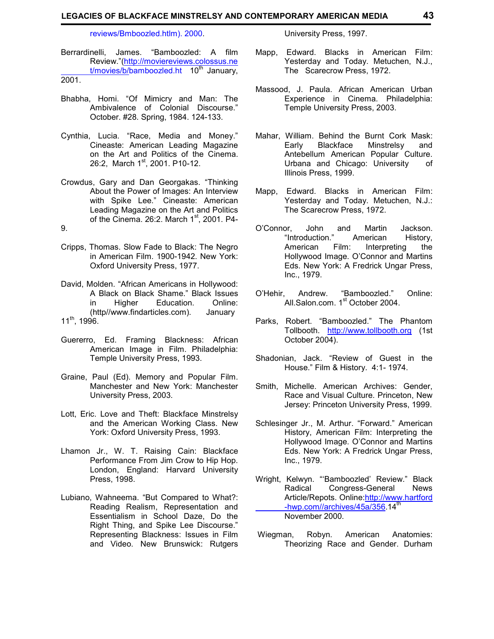#### **LEGACIES OF BLACKFACE MINSTRELSY AND CONTEMPORARY AMERICAN MEDIA 43**

reviews/Bmboozled.htlm). 2000.

University Press, 1997.

- Berrardinelli, James. "Bamboozled: A film Review."(http://moviereviews.colossus.ne  $t/movies/b/bamboozled.$ ht 10<sup>th</sup> January, 2001.
- Bhabha, Homi. "Of Mimicry and Man: The Ambivalence of Colonial Discourse." October. #28. Spring, 1984. 124-133.
- Cynthia, Lucia. "Race, Media and Money." Cineaste: American Leading Magazine on the Art and Politics of the Cinema. 26:2, March 1<sup>st</sup>, 2001. P10-12.
- Crowdus, Gary and Dan Georgakas. "Thinking About the Power of Images: An Interview with Spike Lee." Cineaste: American Leading Magazine on the Art and Politics of the Cinema. 26:2. March  $1<sup>st</sup>$ , 2001. P4-9.
- Cripps, Thomas. Slow Fade to Black: The Negro in American Film. 1900-1942. New York: Oxford University Press, 1977.
- David, Molden. "African Americans in Hollywood: A Black on Black Shame." Black Issues in Higher Education. Online: (http//www.findarticles.com). January 11th, 1996.
- Guererro, Ed. Framing Blackness: African American Image in Film. Philadelphia: Temple University Press, 1993.
- Graine, Paul (Ed). Memory and Popular Film. Manchester and New York: Manchester University Press, 2003.
- Lott, Eric. Love and Theft: Blackface Minstrelsy and the American Working Class. New York: Oxford University Press, 1993.
- Lhamon Jr., W. T. Raising Cain: Blackface Performance From Jim Crow to Hip Hop. London, England: Harvard University Press, 1998.
- Lubiano, Wahneema. "But Compared to What?: Reading Realism, Representation and Essentialism in School Daze, Do the Right Thing, and Spike Lee Discourse." Representing Blackness: Issues in Film and Video. New Brunswick: Rutgers
- Mapp, Edward. Blacks in American Film: Yesterday and Today. Metuchen, N.J., The Scarecrow Press, 1972.
- Massood, J. Paula. African American Urban Experience in Cinema. Philadelphia: Temple University Press, 2003.
- Mahar, William. Behind the Burnt Cork Mask: Early Blackface Minstrelsy and Antebellum American Popular Culture. Urbana and Chicago: University of Illinois Press, 1999.
- Mapp, Edward. Blacks in American Film: Yesterday and Today. Metuchen, N.J.: The Scarecrow Press, 1972.
- O'Connor, John and Martin Jackson. "Introduction." American History, American Film: Interpreting the Hollywood Image. O'Connor and Martins Eds. New York: A Fredrick Ungar Press, Inc., 1979.
- O'Hehir, Andrew. "Bamboozled." Online: All.Salon.com.  $1<sup>st</sup>$  October 2004.
- Parks, Robert. "Bamboozled." The Phantom Tollbooth. http://www.tollbooth.org (1st October 2004).
- Shadonian, Jack. "Review of Guest in the House." Film & History. 4:1- 1974.
- Smith, Michelle. American Archives: Gender, Race and Visual Culture. Princeton, New Jersey: Princeton University Press, 1999.
- Schlesinger Jr., M. Arthur. "Forward." American History, American Film: Interpreting the Hollywood Image. O'Connor and Martins Eds. New York: A Fredrick Ungar Press, Inc., 1979.
- Wright, Kelwyn. "'Bamboozled' Review." Black Congress-General News Article/Repots. Online:http://www.hartford -hwp.com//archives/45a/356.14<sup>th</sup> November 2000.
- Wiegman, Robyn. American Anatomies: Theorizing Race and Gender. Durham